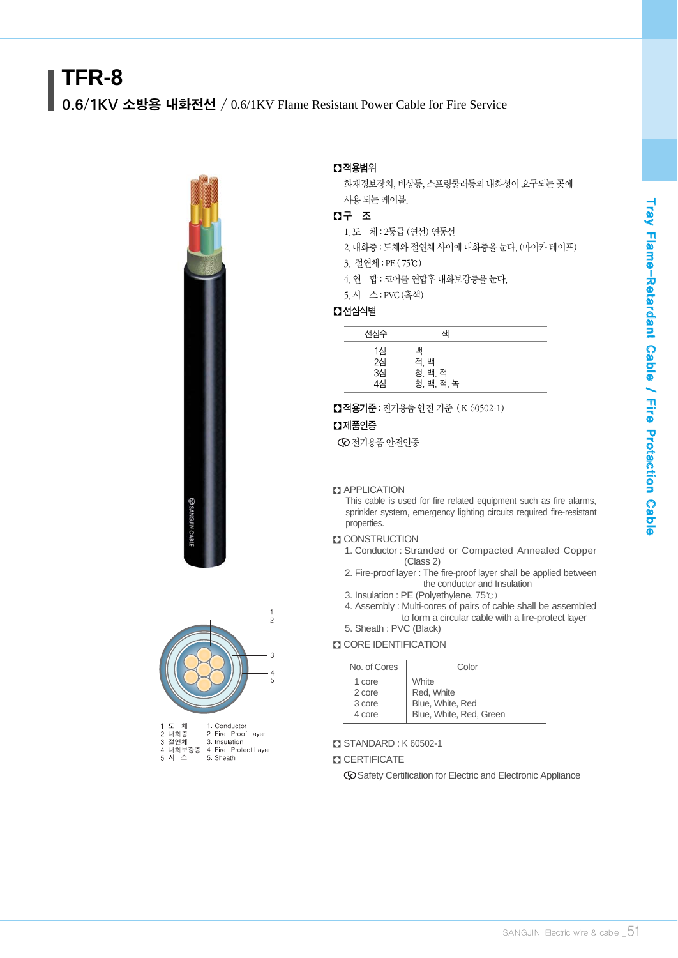# **TFR-8**

0.6/1KV 소방용 내화전선 / 0.6/1KV Flame Resistant Power Cable for Fire Service





| I.エ 세    | T. Conductor         |
|----------|----------------------|
| 2. 내화층   | 2. Fire-Proof Laver  |
| 3. 절연체   | 3. Insulation        |
| 4. 내화보강층 | 4. Fire-Protect Laye |
| 5. 시 스   | 5. Sheath            |
|          |                      |

#### � 적용범위

화재경보장치, 비상등, 스프링쿨러등의 내화성이 요구되는 곳에 사용 되는 케이블.

# � 구 조

- 1.도 체 : 2등급 (연선) 연동선
- 2.내화층 : 도체와 절연체 사이에 내화층을 둔다.(마이카테이프) 3. 절연체 : PE ( 75℃)
- 4. 연 합 : 코어를 연합후 내화보강층을 둔다.
- 5.시 스 : PVC(흑색)

## � 선심식별

| 선심수                                   | 색                                  |  |
|---------------------------------------|------------------------------------|--|
| 1심<br>$2\overline{4}$<br>3심<br><br>4심 | 백<br>적. 백<br>청, 백, 적<br>청, 백, 적, 녹 |  |

■ 적용기준 : 전기용품 안전 기준 (K 60502-1)

#### $\Omega$  제품인증

전기용품 안전인증

#### **Z** APPLICATION

This cable is used for fire related equipment such as fire alarms, sprinkler system, emergency lighting circuits required fire-resistant properties.

#### **D** CONSTRUCTION

- 1. Conductor : Stranded or Compacted Annealed Copper (Class 2)
- 2. Fire-proof layer : The fire-proof layer shall be applied between the conductor and Insulation
- 3. Insulation : PE (Polyethylene. 75℃)
- 4. Assembly : Multi-cores of pairs of cable shall be assembled to form a circular cable with a fire-protect layer

# 5. Sheath : PVC (Black)

#### **CORE IDENTIFICATION**

| No. of Cores | Color                   |
|--------------|-------------------------|
| 1 core       | <b>White</b>            |
| 2 core       | Red, White              |
| 3 core       | Blue, White, Red        |
| 4 core       | Blue, White, Red, Green |

#### � STANDARD : K 60502-1

#### **Z CERTIFICATE**

Safety Certification for Electric and Electronic Appliance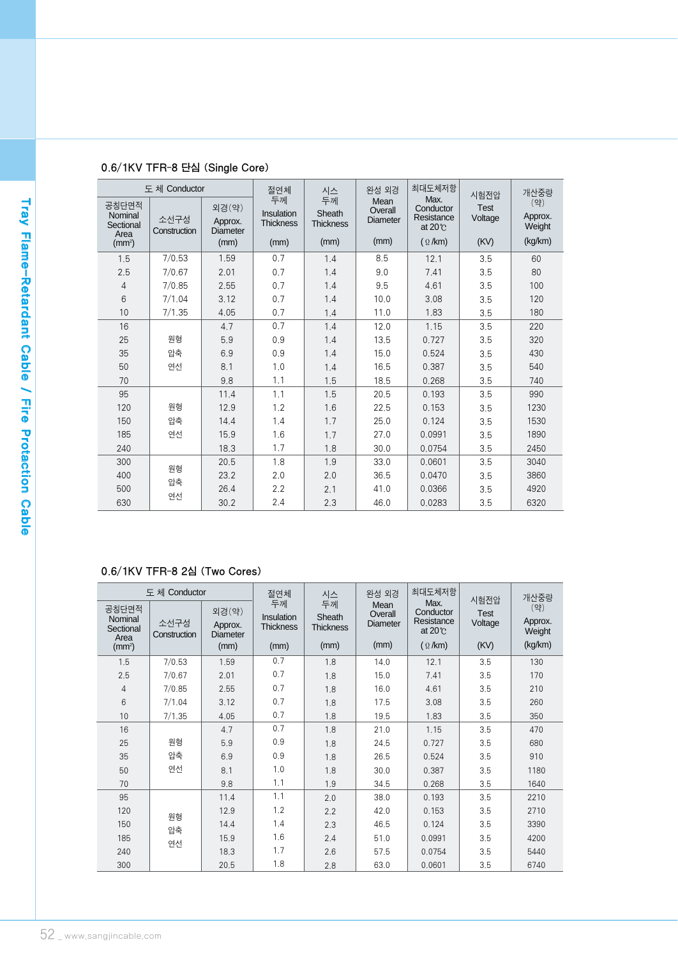| 도체 Conductor                          |                      | 절연체                                 | 시스                                   | 완성 외경                            | 최대도체저항                             | 시험전압                                               | 개산중량                   |                          |
|---------------------------------------|----------------------|-------------------------------------|--------------------------------------|----------------------------------|------------------------------------|----------------------------------------------------|------------------------|--------------------------|
| 공칭단면적<br>Nominal<br>Sectional<br>Area | 소선구성<br>Construction | 외경(약)<br>Approx.<br><b>Diameter</b> | 두께<br>Insulation<br><b>Thickness</b> | 두께<br>Sheath<br><b>Thickness</b> | Mean<br>Overall<br><b>Diameter</b> | Max.<br>Conductor<br>Resistance<br>at $20^{\circ}$ | <b>Test</b><br>Voltage | (약)<br>Approx.<br>Weight |
| (mm <sup>2</sup> )                    |                      | (mm)                                | (mm)                                 | (mm)                             | (mm)                               | $($ $\Omega$ /km)                                  | (KV)                   | (kg/km)                  |
| 1.5                                   | 7/0.53               | 1.59                                | 0.7                                  | 1.4                              | 8.5                                | 12.1                                               | 3.5                    | 60                       |
| 2.5                                   | 7/0.67               | 2.01                                | 0.7                                  | 1.4                              | 9.0                                | 7.41                                               | 3.5                    | 80                       |
| 4                                     | 7/0.85               | 2.55                                | 0.7                                  | 1.4                              | 9.5                                | 4.61                                               | 3.5                    | 100                      |
| 6                                     | 7/1.04               | 3.12                                | 0.7                                  | 1.4                              | 10.0                               | 3.08                                               | 3.5                    | 120                      |
| 10                                    | 7/1.35               | 4.05                                | 0.7                                  | 1.4                              | 11.0                               | 1.83                                               | 3.5                    | 180                      |
| 16                                    |                      | 4.7                                 | 0.7                                  | 1.4                              | 12.0                               | 1.15                                               | 3.5                    | 220                      |
| 25                                    | 원형                   | 5.9                                 | 0.9                                  | 1.4                              | 13.5                               | 0.727                                              | 3.5                    | 320                      |
| 35                                    | 압축                   | 6.9                                 | 0.9                                  | 1.4                              | 15.0                               | 0.524                                              | 3.5                    | 430                      |
| 50                                    | 연선                   | 8.1                                 | 1.0                                  | 1.4                              | 16.5                               | 0.387                                              | 3.5                    | 540                      |
| 70                                    |                      | 9.8                                 | 1.1                                  | 1.5                              | 18.5                               | 0.268                                              | 3.5                    | 740                      |
| 95                                    |                      | 11.4                                | 1.1                                  | 1.5                              | 20.5                               | 0.193                                              | 3.5                    | 990                      |
| 120                                   | 원형                   | 12.9                                | 1.2                                  | 1.6                              | 22.5                               | 0.153                                              | 3.5                    | 1230                     |
| 150                                   | 압축                   | 14.4                                | 1.4                                  | 1.7                              | 25.0                               | 0.124                                              | 3.5                    | 1530                     |
| 185                                   | 연선                   | 15.9                                | 1.6                                  | 1.7                              | 27.0                               | 0.0991                                             | 3.5                    | 1890                     |
| 240                                   |                      | 18.3                                | 1.7                                  | 1.8                              | 30.0                               | 0.0754                                             | 3.5                    | 2450                     |
| 300                                   |                      | 20.5                                | 1.8                                  | 1.9                              | 33.0                               | 0.0601                                             | 3.5                    | 3040                     |
| 400                                   | 원형                   | 23.2                                | 2.0                                  | 2.0                              | 36.5                               | 0.0470                                             | 3.5                    | 3860                     |
| 500                                   | 압축                   | 26.4                                | 2.2                                  | 2.1                              | 41.0                               | 0.0366                                             | 3.5                    | 4920                     |
| 630                                   | 연선                   | 30.2                                | 2.4                                  | 2.3                              | 46.0                               | 0.0283                                             | 3.5                    | 6320                     |

# 0.6/1KV TFR-8 단심 (Single Core)

# 0.6/1KV TFR-8 2심 (Two Cores)

| 도체 Conductor                                                |                      | 절연체                                         | 시스                                           | 완성 외경                                    | 최대도체저항                                     | 시험전압                                                                  | 개산중량                           |                                     |
|-------------------------------------------------------------|----------------------|---------------------------------------------|----------------------------------------------|------------------------------------------|--------------------------------------------|-----------------------------------------------------------------------|--------------------------------|-------------------------------------|
| 공칭단면적<br>Nominal<br>Sectional<br>Area<br>(mm <sup>2</sup> ) | 소선구성<br>Construction | 외경(약)<br>Approx.<br><b>Diameter</b><br>(mm) | 두께<br>Insulation<br><b>Thickness</b><br>(mm) | 두께<br>Sheath<br><b>Thickness</b><br>(mm) | Mean<br>Overall<br><b>Diameter</b><br>(mm) | Max.<br>Conductor<br>Resistance<br>at $20^{\circ}$<br>$(\Omega / km)$ | <b>Test</b><br>Voltage<br>(KV) | (약)<br>Approx.<br>Weight<br>(kg/km) |
| 1.5                                                         | 7/0.53               | 1.59                                        | 0.7                                          | 1.8                                      | 14.0                                       | 12.1                                                                  | 3.5                            | 130                                 |
| 2.5                                                         | 7/0.67               | 2.01                                        | 0.7                                          | 1.8                                      | 15.0                                       | 7.41                                                                  | 3.5                            | 170                                 |
| $\overline{4}$                                              | 7/0.85               | 2.55                                        | 0.7                                          | 1.8                                      | 16.0                                       | 4.61                                                                  | 3.5                            | 210                                 |
| 6                                                           | 7/1.04               | 3.12                                        | 0.7                                          | 1.8                                      | 17.5                                       | 3.08                                                                  | 3.5                            | 260                                 |
| 10                                                          | 7/1.35               | 4.05                                        | 0.7                                          | 1.8                                      | 19.5                                       | 1.83                                                                  | 3.5                            | 350                                 |
| 16                                                          |                      | 4.7                                         | 0.7                                          | 1.8                                      | 21.0                                       | 1.15                                                                  | 3.5                            | 470                                 |
| 25                                                          | 원형                   | 5.9                                         | 0.9                                          | 1.8                                      | 24.5                                       | 0.727                                                                 | 3.5                            | 680                                 |
| 35                                                          | 압축                   | 6.9                                         | 0.9                                          | 1.8                                      | 26.5                                       | 0.524                                                                 | 3.5                            | 910                                 |
| 50                                                          | 연선                   | 8.1                                         | 1.0                                          | 1.8                                      | 30.0                                       | 0.387                                                                 | 3.5                            | 1180                                |
| 70                                                          |                      | 9.8                                         | 1.1                                          | 1.9                                      | 34.5                                       | 0.268                                                                 | 3.5                            | 1640                                |
| 95                                                          |                      | 11.4                                        | 1.1                                          | 2.0                                      | 38.0                                       | 0.193                                                                 | 3.5                            | 2210                                |
| 120                                                         | 원형                   | 12.9                                        | 1.2                                          | 2.2                                      | 42.0                                       | 0.153                                                                 | 3.5                            | 2710                                |
| 150                                                         | 압축                   | 14.4                                        | 1.4                                          | 2.3                                      | 46.5                                       | 0.124                                                                 | 3.5                            | 3390                                |
| 185                                                         | 연선                   | 15.9                                        | 1.6                                          | 2.4                                      | 51.0                                       | 0.0991                                                                | 3.5                            | 4200                                |
| 240                                                         |                      | 18.3                                        | 1.7                                          | 2.6                                      | 57.5                                       | 0.0754                                                                | 3.5                            | 5440                                |
| 300                                                         |                      | 20.5                                        | 1.8                                          | 2.8                                      | 63.0                                       | 0.0601                                                                | 3.5                            | 6740                                |